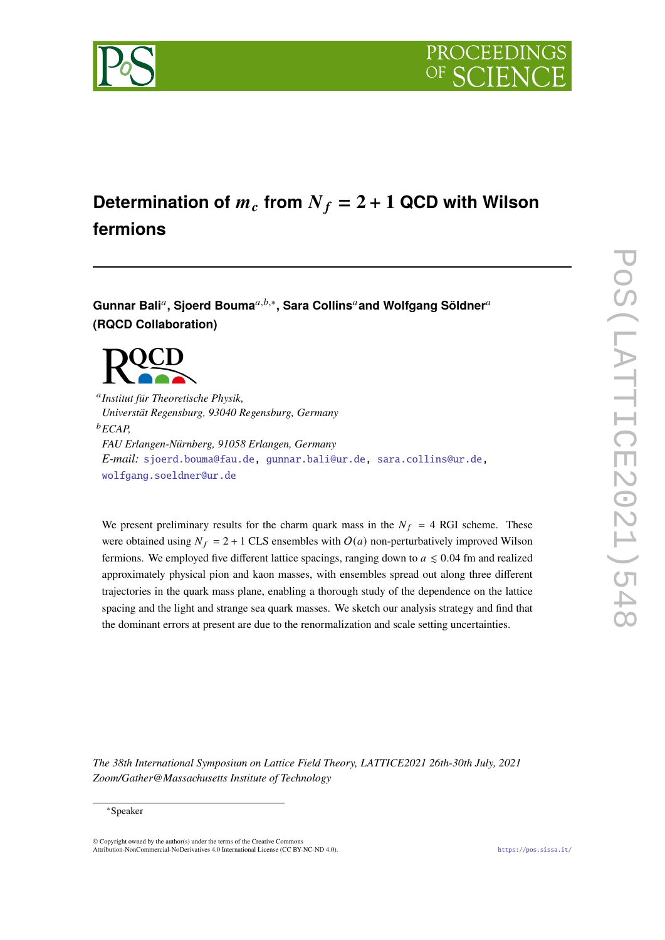

# Determination of  $m_c$  from  $N_f = 2 + 1$  QCD with Wilson **fermions**

 ${\mathsf{Gunnar~Bali}}^a, {\mathsf{Sjoerd~Bouna}}^{a,b,*}, {\mathsf{Sara~Collins}}^a$  and Wolfgang Söldner $^a$ **(RQCD Collaboration)**



𝑎 *Institut für Theoretische Physik, Universtät Regensburg, 93040 Regensburg, Germany* <sup>𝑏</sup>*ECAP, FAU Erlangen-Nürnberg, 91058 Erlangen, Germany E-mail:* [sjoerd.bouma@fau.de,](mailto:sjoerd.bouma@fau.de) [gunnar.bali@ur.de,](mailto:gunnar.bali@ur.de) [sara.collins@ur.de,](mailto:sara.collins@ur.de) [wolfgang.soeldner@ur.de](mailto:wolfgang.soeldner@ur.de)

We present preliminary results for the charm quark mass in the  $N_f = 4$  RGI scheme. These were obtained using  $N_f = 2 + 1$  CLS ensembles with  $O(a)$  non-perturbatively improved Wilson fermions. We employed five different lattice spacings, ranging down to  $a \leq 0.04$  fm and realized approximately physical pion and kaon masses, with ensembles spread out along three different trajectories in the quark mass plane, enabling a thorough study of the dependence on the lattice spacing and the light and strange sea quark masses. We sketch our analysis strategy and find that the dominant errors at present are due to the renormalization and scale setting uncertainties.

*The 38th International Symposium on Lattice Field Theory, LATTICE2021 26th-30th July, 2021 Zoom/Gather@Massachusetts Institute of Technology*

### ∗Speaker

 $\odot$  Copyright owned by the author(s) under the terms of the Creative Common Attribution-NonCommercial-NoDerivatives 4.0 International License (CC BY-NC-ND 4.0). <https://pos.sissa.it/>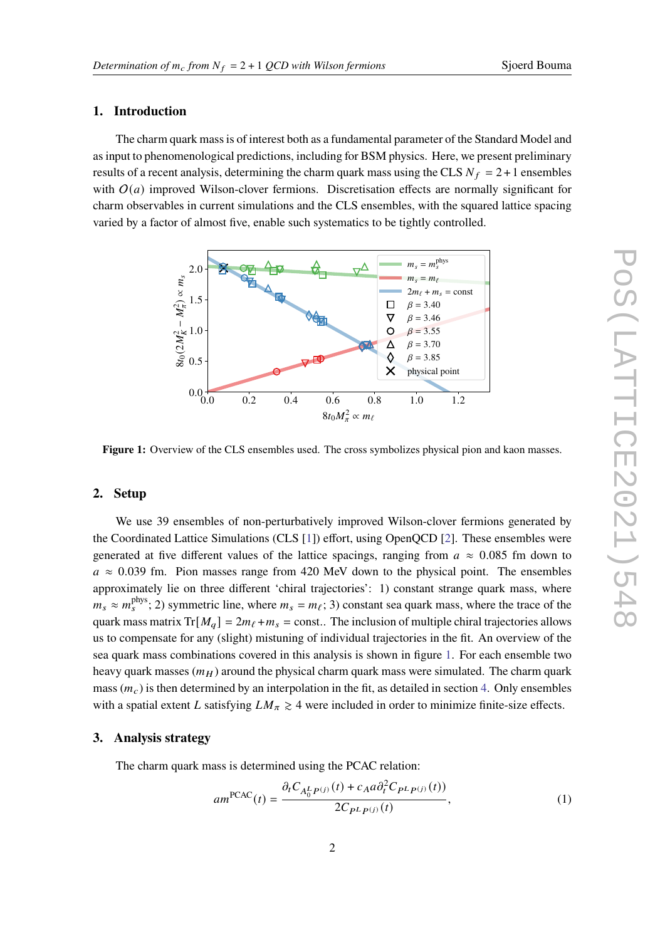# **1. Introduction**

The charm quark mass is of interest both as a fundamental parameter of the Standard Model and as input to phenomenological predictions, including for BSM physics. Here, we present preliminary results of a recent analysis, determining the charm quark mass using the CLS  $N_f = 2 + 1$  ensembles with  $O(a)$  improved Wilson-clover fermions. Discretisation effects are normally significant for charm observables in current simulations and the CLS ensembles, with the squared lattice spacing varied by a factor of almost five, enable such systematics to be tightly controlled.

<span id="page-1-0"></span>

Figure 1: Overview of the CLS ensembles used. The cross symbolizes physical pion and kaon masses.

# **2. Setup**

We use 39 ensembles of non-perturbatively improved Wilson-clover fermions generated by the Coordinated Lattice Simulations (CLS [\[1\]](#page-7-0)) effort, using OpenQCD [\[2\]](#page-7-1). These ensembles were generated at five different values of the lattice spacings, ranging from  $a \approx 0.085$  fm down to  $a \approx 0.039$  fm. Pion masses range from 420 MeV down to the physical point. The ensembles approximately lie on three different 'chiral trajectories': 1) constant strange quark mass, where  $m_s \approx m_s^{\text{phys}}$ ; 2) symmetric line, where  $m_s = m_\ell$ ; 3) constant sea quark mass, where the trace of the quark mass matrix  $Tr[M_a] = 2m_\ell + m_s = \text{const.}$ . The inclusion of multiple chiral trajectories allows us to compensate for any (slight) mistuning of individual trajectories in the fit. An overview of the sea quark mass combinations covered in this analysis is shown in figure [1.](#page-1-0) For each ensemble two heavy quark masses  $(m_H)$  around the physical charm quark mass were simulated. The charm quark mass  $(m_c)$  is then determined by an interpolation in the fit, as detailed in section [4.](#page-3-0) Only ensembles with a spatial extent L satisfying  $LM_{\pi} \geq 4$  were included in order to minimize finite-size effects.

#### <span id="page-1-1"></span>**3. Analysis strategy**

The charm quark mass is determined using the PCAC relation:

$$
am^{PCAC}(t) = \frac{\partial_t C_{A_0^L P^{(j)}}(t) + c_A a \partial_t^2 C_{P^L P^{(j)}}(t))}{2C_{P^L P^{(j)}}(t)},
$$
\n(1)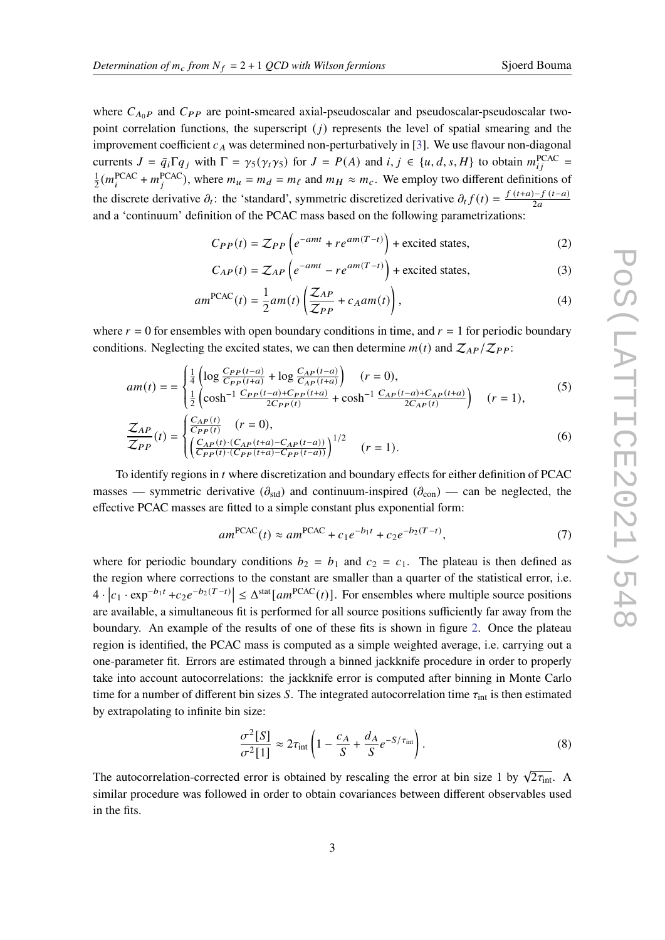where  $C_{A_0P}$  and  $C_{PP}$  are point-smeared axial-pseudoscalar and pseudoscalar-pseudoscalar twopoint correlation functions, the superscript  $(i)$  represents the level of spatial smearing and the improvement coefficient  $c_A$  was determined non-perturbatively in [\[3\]](#page-7-2). We use flavour non-diagonal currents  $J = \bar{q}_i \Gamma q_j$  with  $\Gamma = \gamma_5(\gamma_5)$  for  $J = P(A)$  and  $i, j \in \{u, d, s, H\}$  to obtain  $m_{ij}^{\text{PCAC}} =$ 1  $\frac{1}{2}(m_i^{\text{PCAC}} + m_j^{\text{PCAC}})$ , where  $m_u = m_d = m_\ell$  and  $m_H \approx m_c$ . We employ two different definitions of the discrete derivative  $\partial_t$ : the 'standard', symmetric discretized derivative  $\partial_t f(t) = \frac{f(t+a)-f(t-a)}{2a}$ and a 'continuum' definition of the PCAC mass based on the following parametrizations:

$$
C_{PP}(t) = Z_{PP}\left(e^{-amt} + re^{am(T-t)}\right) + \text{excited states},\tag{2}
$$

$$
C_{AP}(t) = Z_{AP}\left(e^{-amt} - re^{am(T-t)}\right) + \text{excited states},\tag{3}
$$

$$
am^{PCAC}(t) = \frac{1}{2}am(t)\left(\frac{\mathcal{Z}_{AP}}{\mathcal{Z}_{PP}} + c_A am(t)\right),\tag{4}
$$

where  $r = 0$  for ensembles with open boundary conditions in time, and  $r = 1$  for periodic boundary conditions. Neglecting the excited states, we can then determine  $m(t)$  and  $\mathcal{Z}_{AP}/\mathcal{Z}_{PP}$ :

$$
am(t) = \begin{cases} \frac{1}{4} \left( \log \frac{C_{PP}(t-a)}{C_{PP}(t+a)} + \log \frac{C_{AP}(t-a)}{C_{AP}(t+a)} \right) & (r = 0),\\ \frac{1}{2} \left( \cosh^{-1} \frac{C_{PP}(t-a) + C_{PP}(t+a)}{2C_{PP}(t)} + \cosh^{-1} \frac{C_{AP}(t-a) + C_{AP}(t+a)}{2C_{AP}(t)} \right) & (r = 1), \end{cases} \tag{5}
$$

$$
\frac{\mathcal{Z}_{AP}}{\mathcal{Z}_{PP}}(t) = \begin{cases} \frac{C_{AP}(t)}{C_{PP}(t)} & (r = 0),\\ \left(\frac{C_{AP}(t) \cdot (C_{AP}(t+a) - C_{AP}(t-a))}{C_{PP}(t) \cdot (C_{PP}(t+a) - C_{PP}(t-a))}\right)^{1/2} & (r = 1). \end{cases} \tag{6}
$$

To identify regions in t where discretization and boundary effects for either definition of PCAC masses — symmetric derivative  $(\partial_{std})$  and continuum-inspired  $(\partial_{con})$  — can be neglected, the effective PCAC masses are fitted to a simple constant plus exponential form:

$$
am^{PCAC}(t) \approx am^{PCAC} + c_1 e^{-b_1 t} + c_2 e^{-b_2 (T - t)},
$$
\n(7)

where for periodic boundary conditions  $b_2 = b_1$  and  $c_2 = c_1$ . The plateau is then defined as the region where corrections to the constant are smaller than a quarter of the statistical error, i.e.  $4 \cdot |c_1 \cdot \exp^{-b_1 t} + c_2 e^{-b_2(T-t)}| \leq \Delta^{\text{stat}}[am^{\text{PCAC}}(t)].$  For ensembles where multiple source positions are available, a simultaneous fit is performed for all source positions sufficiently far away from the boundary. An example of the results of one of these fits is shown in figure [2.](#page-3-1) Once the plateau region is identified, the PCAC mass is computed as a simple weighted average, i.e. carrying out a one-parameter fit. Errors are estimated through a binned jackknife procedure in order to properly take into account autocorrelations: the jackknife error is computed after binning in Monte Carlo time for a number of different bin sizes S. The integrated autocorrelation time  $\tau_{int}$  is then estimated by extrapolating to infinite bin size:

$$
\frac{\sigma^2[S]}{\sigma^2[1]} \approx 2\tau_{\rm int} \left( 1 - \frac{c_A}{S} + \frac{d_A}{S} e^{-S/\tau_{\rm int}} \right). \tag{8}
$$

The autocorrelation-corrected error is obtained by rescaling the error at bin size 1 by  $\sqrt{2\tau_{\text{int}}}$ . A similar procedure was followed in order to obtain covariances between different observables used in the fits.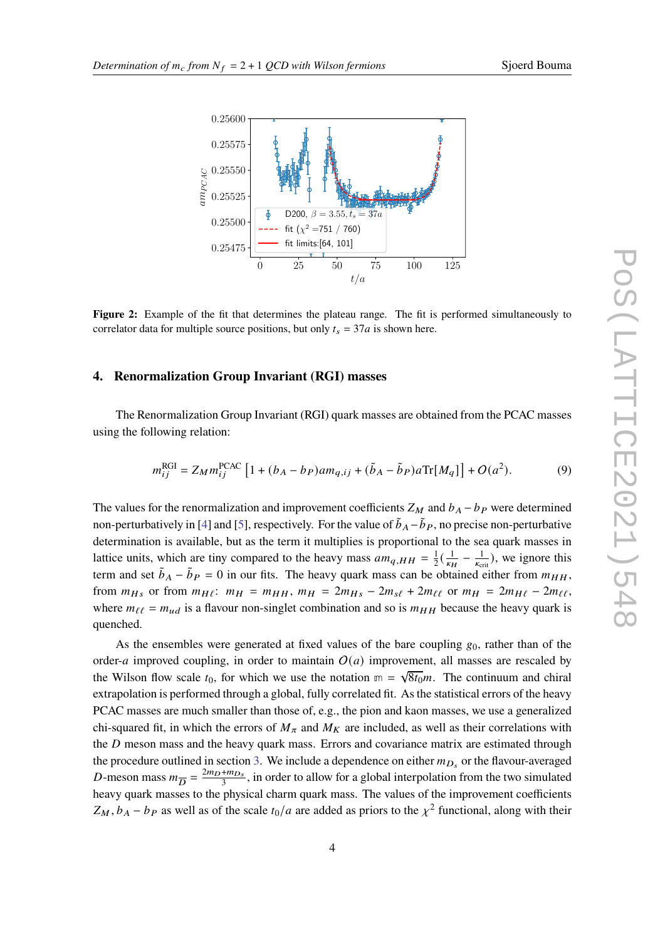<span id="page-3-1"></span>

**Figure 2:** Example of the fit that determines the plateau range. The fit is performed simultaneously to correlator data for multiple source positions, but only  $t_s = 37a$  is shown here.

## <span id="page-3-0"></span>**4. Renormalization Group Invariant (RGI) masses**

The Renormalization Group Invariant (RGI) quark masses are obtained from the PCAC masses using the following relation:

$$
m_{ij}^{\text{RGI}} = Z_M m_{ij}^{\text{PCAC}} \left[ 1 + (b_A - b_P) a m_{q,ij} + (\tilde{b}_A - \tilde{b}_P) a \text{Tr}[M_q] \right] + O(a^2). \tag{9}
$$

The values for the renormalization and improvement coefficients  $Z_M$  and  $b_A - b_P$  were determined non-perturbatively in [\[4\]](#page-7-3) and [\[5\]](#page-7-4), respectively. For the value of  $\tilde{b}_A - \tilde{b}_P$ , no precise non-perturbative determination is available, but as the term it multiplies is proportional to the sea quark masses in lattice units, which are tiny compared to the heavy mass  $am_{q,HH} = \frac{1}{2}$  $rac{1}{2}(\frac{1}{\kappa n})$  $\frac{1}{\kappa_H}-\frac{1}{\kappa_{\rm ct}}$  $\frac{1}{K_{\text{crit}}}$ ), we ignore this term and set  $\tilde{b}_A - \tilde{b}_P = 0$  in our fits. The heavy quark mass can be obtained either from  $m_{HH}$ , from  $m_{Hs}$  or from  $m_{Hl}$ :  $m_H = m_{HH}$ ,  $m_H = 2m_{Hs} - 2m_{s\ell} + 2m_{\ell\ell}$  or  $m_H = 2m_{Hl} - 2m_{\ell\ell}$ , where  $m_{\ell\ell} = m_{ud}$  is a flavour non-singlet combination and so is  $m_{HH}$  because the heavy quark is quenched.

As the ensembles were generated at fixed values of the bare coupling  $g_0$ , rather than of the order-*a* improved coupling, in order to maintain  $O(a)$  improvement, all masses are rescaled by the Wilson flow scale  $t_0$ , for which we use the notation  $m = \sqrt{8t_0}m$ . The continuum and chiral extrapolation is performed through a global, fully correlated fit. As the statistical errors of the heavy PCAC masses are much smaller than those of, e.g., the pion and kaon masses, we use a generalized chi-squared fit, in which the errors of  $M_{\pi}$  and  $M_K$  are included, as well as their correlations with the  $D$  meson mass and the heavy quark mass. Errors and covariance matrix are estimated through the procedure outlined in section [3.](#page-1-1) We include a dependence on either  $m_{D_s}$  or the flavour-averaged D-meson mass  $m_{\overline{D}} = \frac{2m_D + m_{D_s}}{3}$ , in order to allow for a global interpolation from the two simulated heavy quark masses to the physical charm quark mass. The values of the improvement coefficients  $Z_M$ ,  $b_A - b_P$  as well as of the scale  $t_0/a$  are added as priors to the  $\chi^2$  functional, along with their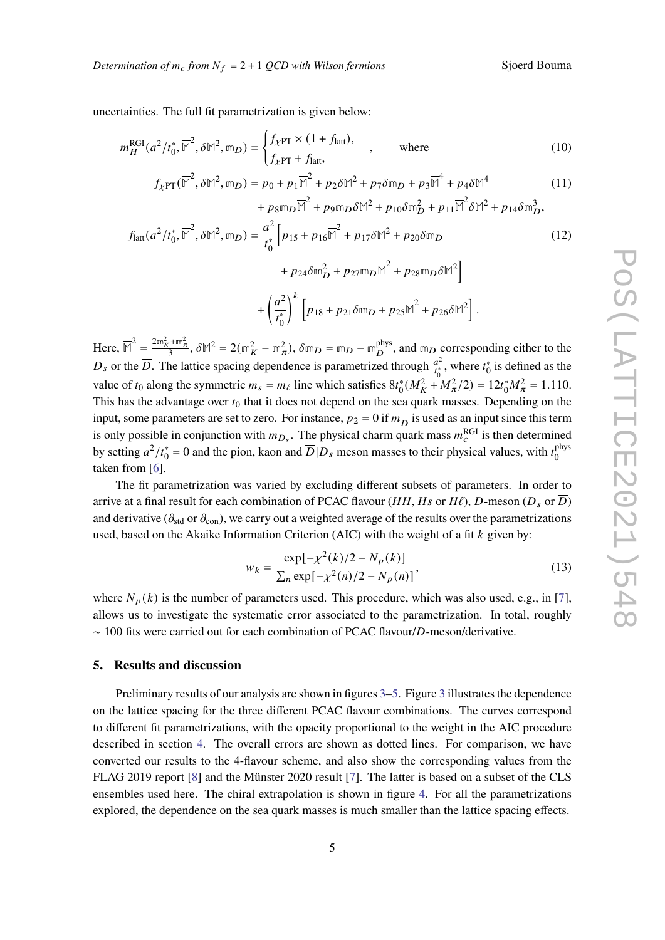uncertainties. The full fit parametrization is given below:

$$
m_H^{\text{RGI}}(a^2/t_0^*, \overline{M}^2, \delta M^2, \mathbb{m}_D) = \begin{cases} f_{\chi \text{PT}} \times (1 + f_{\text{latt}}), \\ f_{\chi \text{PT}} + f_{\text{latt}}, \end{cases}
$$
, where (10)

$$
f_{\chi PT}(\overline{\mathbb{M}}^2, \delta \mathbb{M}^2, \mathfrak{m}_D) = p_0 + p_1 \overline{\mathbb{M}}^2 + p_2 \delta \mathbb{M}^2 + p_7 \delta \mathfrak{m}_D + p_3 \overline{\mathbb{M}}^4 + p_4 \delta \mathbb{M}^4
$$
  
+ 
$$
p_8 \mathfrak{m}_D \overline{\mathbb{M}}^2 + p_9 \mathfrak{m}_D \delta \mathbb{M}^2 + p_{10} \delta \mathfrak{m}_D^2 + p_{11} \overline{\mathbb{M}}^2 \delta \mathbb{M}^2 + p_{14} \delta \mathfrak{m}_D^3,
$$
 (11)

$$
f_{\text{latt}}(a^2/t_0^*, \overline{M}^2, \delta M^2, \mathbb{m}_D) = \frac{a^2}{t_0^*} \Big[ p_{15} + p_{16} \overline{M}^2 + p_{17} \delta M^2 + p_{20} \delta \mathbb{m}_D + p_{24} \delta \mathbb{m}_D^2 + p_{27} \mathbb{m}_D \overline{M}^2 + p_{28} \mathbb{m}_D \delta M^2 \Big]
$$
(12)

$$
+ \left(\frac{a^2}{t_0^*}\right)^k \left[p_{18} + p_{21}\delta\mathbb{m}_D + p_{25}\overline{\mathbb{M}}^2 + p_{26}\delta\mathbb{M}^2\right].
$$

 $\text{Here, } \overline{M}^2 = \frac{2m_K^2 + m_{\pi}^2}{3}, \delta M^2 = 2(m_K^2 - m_{\pi}^2), \delta m_D = m_D - m_D^{\text{phys}}$  $_D^{\text{phys}}$ , and  $m_D$  corresponding either to the  $D_s$  or the  $\overline{D}$ . The lattice spacing dependence is parametrized through  $\frac{d^2}{dt^*}$  $\frac{a^2}{t_0^*}$ , where  $t_0^*$  is defined as the value of  $t_0$  along the symmetric  $m_s = m_\ell$  line which satisfies  $8t_0^*(M_K^2 + M_\pi^2/2) = 12t_0^*M_\pi^2 = 1.110$ . This has the advantage over  $t_0$  that it does not depend on the sea quark masses. Depending on the input, some parameters are set to zero. For instance,  $p_2 = 0$  if  $m_{\overline{D}}$  is used as an input since this term is only possible in conjunction with  $m_{D_s}$ . The physical charm quark mass  $m_c^{\text{RGI}}$  is then determined by setting  $a^2/t_0^* = 0$  and the pion, kaon and  $\overline{D}|D_s$  meson masses to their physical values, with  $t_0^{phys}$  $\bar{0}$ taken from [\[6\]](#page-7-5).

The fit parametrization was varied by excluding different subsets of parameters. In order to arrive at a final result for each combination of PCAC flavour (HH, Hs or H $\ell$ ), D-meson ( $D_s$  or  $\overline{D}$ ) and derivative ( $\partial_{std}$  or  $\partial_{con}$ ), we carry out a weighted average of the results over the parametrizations used, based on the Akaike Information Criterion (AIC) with the weight of a fit  $k$  given by:

$$
w_k = \frac{\exp[-\chi^2(k)/2 - N_p(k)]}{\sum_n \exp[-\chi^2(n)/2 - N_p(n)]},
$$
\n(13)

where  $N_p(k)$  is the number of parameters used. This procedure, which was also used, e.g., in [\[7\]](#page-7-6), allows us to investigate the systematic error associated to the parametrization. In total, roughly  $\sim$  100 fits were carried out for each combination of PCAC flavour/D-meson/derivative.

# **5. Results and discussion**

Preliminary results of our analysis are shown in figures [3–](#page-5-0)[5.](#page-6-0) Figure [3](#page-5-0) illustrates the dependence on the lattice spacing for the three different PCAC flavour combinations. The curves correspond to different fit parametrizations, with the opacity proportional to the weight in the AIC procedure described in section [4.](#page-3-0) The overall errors are shown as dotted lines. For comparison, we have converted our results to the 4-flavour scheme, and also show the corresponding values from the FLAG 2019 report [\[8\]](#page-7-7) and the Münster 2020 result [\[7\]](#page-7-6). The latter is based on a subset of the CLS ensembles used here. The chiral extrapolation is shown in figure [4.](#page-5-1) For all the parametrizations explored, the dependence on the sea quark masses is much smaller than the lattice spacing effects.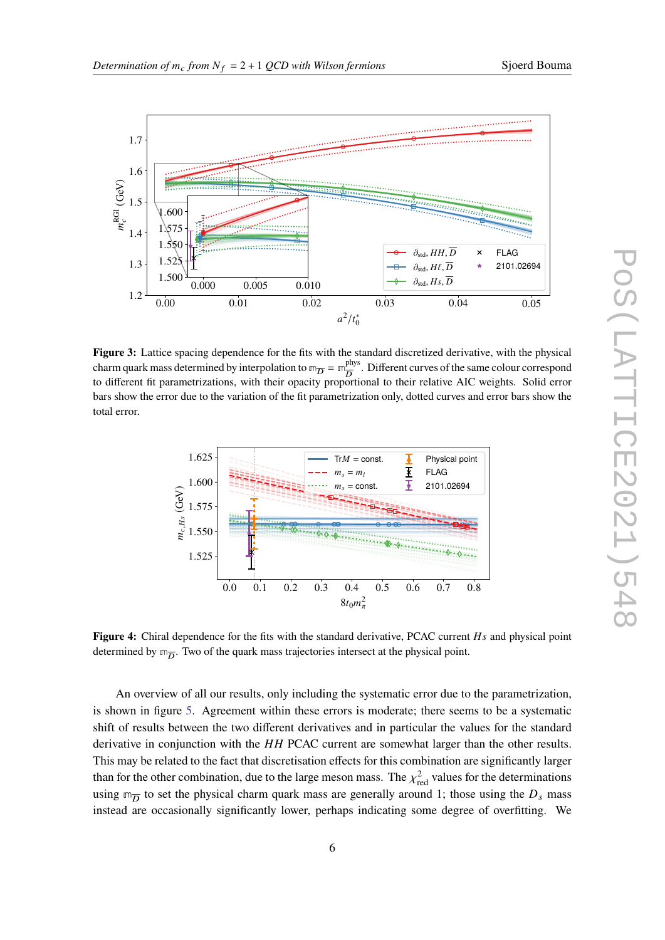<span id="page-5-0"></span>

**Figure 3:** Lattice spacing dependence for the fits with the standard discretized derivative, with the physical charm quark mass determined by interpolation to  $m_{\overline{D}} = m_{\overline{D}}^{phys}$  $\frac{phys}{D}$ . Different curves of the same colour correspond to different fit parametrizations, with their opacity proportional to their relative AIC weights. Solid error bars show the error due to the variation of the fit parametrization only, dotted curves and error bars show the total error.

<span id="page-5-1"></span>

**Figure 4:** Chiral dependence for the fits with the standard derivative, PCAC current Hs and physical point determined by  $m_{\overline{D}}$ . Two of the quark mass trajectories intersect at the physical point.

An overview of all our results, only including the systematic error due to the parametrization, is shown in figure [5.](#page-6-0) Agreement within these errors is moderate; there seems to be a systematic shift of results between the two different derivatives and in particular the values for the standard derivative in conjunction with the  $HH$  PCAC current are somewhat larger than the other results. This may be related to the fact that discretisation effects for this combination are significantly larger than for the other combination, due to the large meson mass. The  $\chi^2_{\text{red}}$  values for the determinations using  $m_{\overline{D}}$  to set the physical charm quark mass are generally around 1; those using the  $D_s$  mass instead are occasionally significantly lower, perhaps indicating some degree of overfitting. We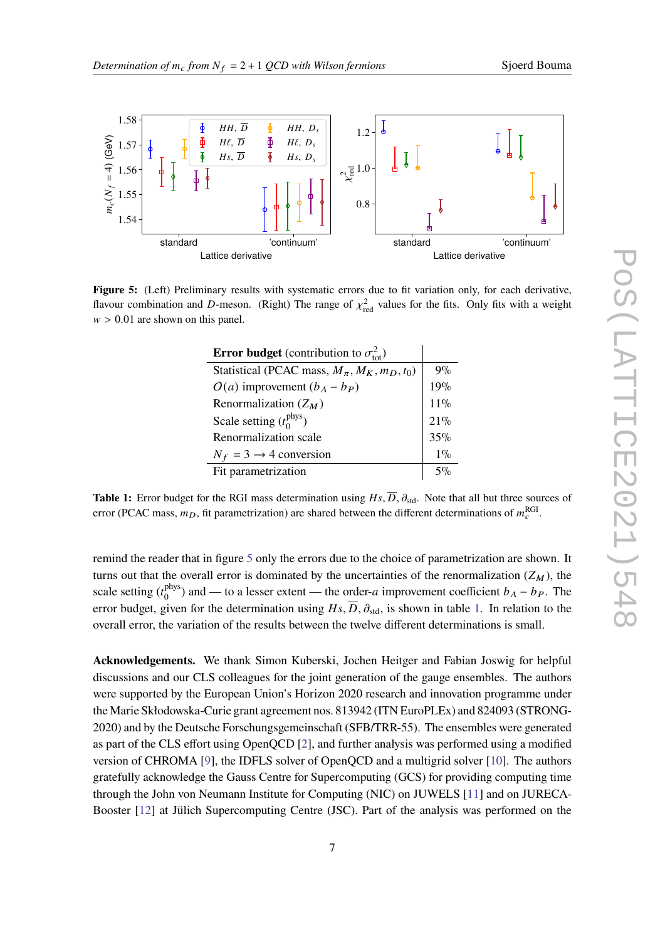<span id="page-6-0"></span>

<span id="page-6-1"></span>**Figure 5:** (Left) Preliminary results with systematic errors due to fit variation only, for each derivative, flavour combination and D-meson. (Right) The range of  $\chi^2_{\text{red}}$  values for the fits. Only fits with a weight  $w > 0.01$  are shown on this panel.

| <b>Error budget</b> (contribution to $\sigma_{\text{tot}}^2$ ) |        |
|----------------------------------------------------------------|--------|
| Statistical (PCAC mass, $M_{\pi}$ , $M_K$ , $m_D$ , $t_0$ )    | $9\%$  |
| $O(a)$ improvement $(b_A - b_P)$                               | 19%    |
| Renormalization $(Z_M)$                                        | $11\%$ |
| Scale setting $(t_0^{\text{phys}})$                            | 21%    |
| Renormalization scale                                          | 35%    |
| $N_f = 3 \rightarrow 4$ conversion                             | $1\%$  |
| Fit parametrization                                            | $5\%$  |

**Table 1:** Error budget for the RGI mass determination using  $H_s$ ,  $\overline{D}$ ,  $\partial_{std}$ . Note that all but three sources of error (PCAC mass,  $m_D$ , fit parametrization) are shared between the different determinations of  $m_c^{\text{RGI}}$ .

remind the reader that in figure [5](#page-6-0) only the errors due to the choice of parametrization are shown. It turns out that the overall error is dominated by the uncertainties of the renormalization  $(Z_M)$ , the scale setting  $(t_0^{\text{phys}})$  $\binom{phys}{0}$  and — to a lesser extent — the order-*a* improvement coefficient  $b_A - b_P$ . The error budget, given for the determination using  $H_s$ ,  $\overline{D}$ ,  $\partial_{std}$ , is shown in table [1.](#page-6-1) In relation to the overall error, the variation of the results between the twelve different determinations is small.

**Acknowledgements.** We thank Simon Kuberski, Jochen Heitger and Fabian Joswig for helpful discussions and our CLS colleagues for the joint generation of the gauge ensembles. The authors were supported by the European Union's Horizon 2020 research and innovation programme under the Marie Skłodowska-Curie grant agreement nos. 813942 (ITN EuroPLEx) and 824093 (STRONG-2020) and by the Deutsche Forschungsgemeinschaft (SFB/TRR-55). The ensembles were generated as part of the CLS effort using OpenQCD [\[2\]](#page-7-1), and further analysis was performed using a modified version of CHROMA [\[9\]](#page-7-8), the IDFLS solver of OpenQCD and a multigrid solver [\[10\]](#page-7-9). The authors gratefully acknowledge the Gauss Centre for Supercomputing (GCS) for providing computing time through the John von Neumann Institute for Computing (NIC) on JUWELS [\[11\]](#page-7-10) and on JURECA-Booster [\[12\]](#page-7-11) at Jülich Supercomputing Centre (JSC). Part of the analysis was performed on the